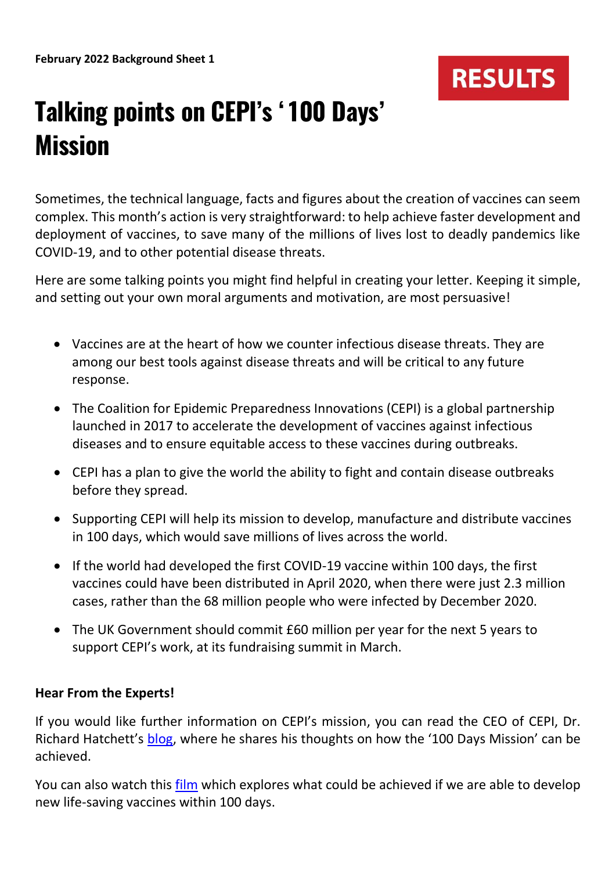

## **Talking points on CEPI's '100 Days' Mission**

Sometimes, the technical language, facts and figures about the creation of vaccines can seem complex. This month's action is very straightforward: to help achieve faster development and deployment of vaccines, to save many of the millions of lives lost to deadly pandemics like COVID-19, and to other potential disease threats.

Here are some talking points you might find helpful in creating your letter. Keeping it simple, and setting out your own moral arguments and motivation, are most persuasive!

- Vaccines are at the heart of how we counter infectious disease threats. They are among our best tools against disease threats and will be critical to any future response.
- The Coalition for Epidemic Preparedness Innovations (CEPI) is a global partnership launched in 2017 to accelerate the development of vaccines against infectious diseases and to ensure equitable access to these vaccines during outbreaks.
- CEPI has a plan to give the world the ability to fight and contain disease outbreaks before they spread.
- Supporting CEPI will help its mission to develop, manufacture and distribute vaccines in 100 days, which would save millions of lives across the world.
- If the world had developed the first COVID-19 vaccine within 100 days, the first vaccines could have been distributed in April 2020, when there were just 2.3 million cases, rather than the 68 million people who were infected by December 2020.
- The UK Government should commit £60 million per year for the next 5 years to support CEPI's work, at its fundraising summit in March.

## **Hear From the Experts!**

If you would like further information on CEPI's mission, you can read the CEO of CEPI, Dr. Richard Hatchett's [blog](https://100days.cepi.net/100-days/), where he shares his thoughts on how the '100 Days Mission' can be achieved.

You can also watch this [film](https://100days.cepi.net/) which explores what could be achieved if we are able to develop new life-saving vaccines within 100 days.